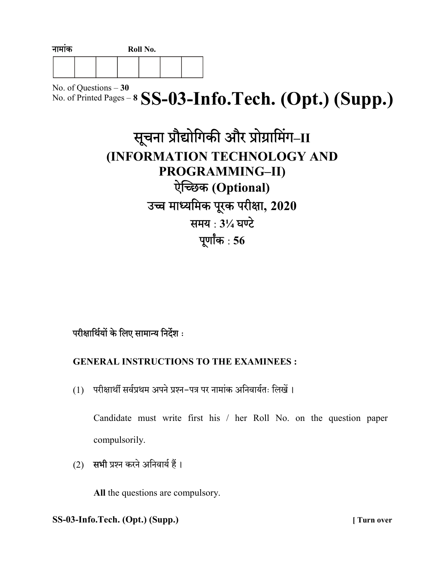| नामाक |  | Roll No. |  |  |  |  |
|-------|--|----------|--|--|--|--|
|       |  |          |  |  |  |  |

No. of Questions – 30 No. of Printed Pages –  $8$  SS-03-Info.Tech. (Opt.) (Supp.)

| सूचना प्रौद्योगिकी और प्रोग्रामिंग-II |
|---------------------------------------|
| (INFORMATION TECHNOLOGY AND           |
| PROGRAMMING-II)                       |
| ऐच्छिक (Optional)                     |
| उच्च माध्यमिक पूरक परीक्षा, 2020      |
| समय: 31/4 घण्टे                       |
| पूर्णांक: $56$                        |

# परीक्षार्थियों के लिए सामान्य निर्देश:

# GENERAL INSTRUCTIONS TO THE EXAMINEES :

(1) परीक्षार्थी सर्वप्रथम अपने प्रश्न-पत्र पर नामांक अनिवार्यतः लिखें।

Candidate must write first his / her Roll No. on the question paper compulsorily.

(2) सभी प्रश्न करने अनिवार्य हैं।

All the questions are compulsory.

# SS-03-Info.Tech. (Opt.) (Supp.) [ Turn over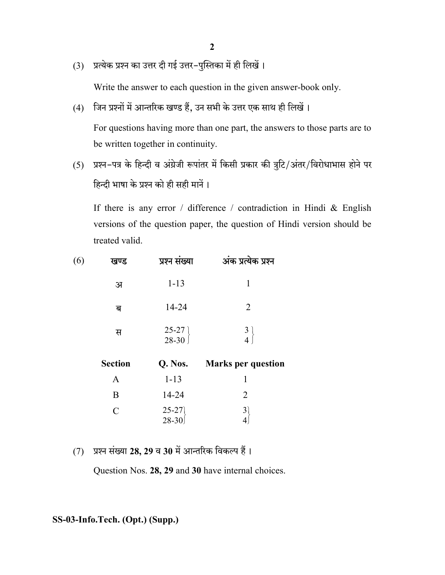- 2
- (3) प्रत्येक प्रश्न का उत्तर दी गई उत्तर-पुस्तिका में ही लिखें।

Write the answer to each question in the given answer-book only.

(4) जिन प्रश्नों में आन्तरिक खण्ड हैं, उन सभी के उत्तर एक साथ ही लिखें।

For questions having more than one part, the answers to those parts are to be written together in continuity.

(5) प्रश्न-पत्र के हिन्दी व अंग्रेजी रूपांतर में किसी प्रकार की त्रुटि/अंतर/विरोधाभास होने पर हिन्दी भाषा के प्रश्न को ही सही मानें।

If there is any error / difference / contradiction in Hindi & English versions of the question paper, the question of Hindi version should be treated valid.

| (6) | खण्ड           | प्रश्न संख्या      | अंक प्रत्येक प्रश्न       |
|-----|----------------|--------------------|---------------------------|
|     | अ              | $1 - 13$           | 1                         |
|     | ब              | 14-24              | $\overline{2}$            |
|     | स              | $25-27$ )<br>28-30 | $\frac{3}{4}$             |
|     | <b>Section</b> | Q. Nos.            | <b>Marks per question</b> |
|     | $\mathbf{A}$   | $1 - 13$           | 1                         |
|     | B              | 14-24              | $\overline{2}$            |
|     | $\mathcal{C}$  | $25-27$<br>28-30   | $\mathfrak{Z}$            |
|     |                |                    |                           |

 $(7)$  प्रश्न संख्या 28, 29 व 30 में आन्तरिक विकल्प हैं।

Question Nos. 28, 29 and 30 have internal choices.

### SS-03-Info.Tech. (Opt.) (Supp.)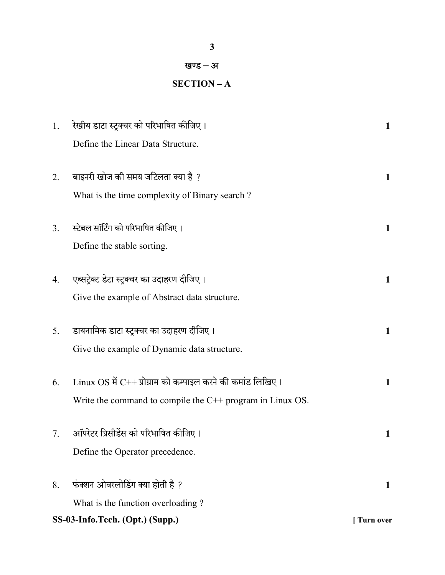3

# खण्ड – अ

# SECTION – A

| 1. | रेखीय डाटा स्ट्रक्चर को परिभाषित कीजिए।                                                                                               | $\mathbf{1}$     |
|----|---------------------------------------------------------------------------------------------------------------------------------------|------------------|
|    | Define the Linear Data Structure.                                                                                                     |                  |
| 2. | बाइनरी खोज की समय जटिलता क्या है ?<br>What is the time complexity of Binary search?                                                   | 1                |
| 3. | स्टेबल सॉर्टिंग को परिभाषित कीजिए।<br>Define the stable sorting.                                                                      | $\mathbf{1}$     |
| 4. | एब्सट्रेक्ट डेटा स्ट्रक्चर का उदाहरण दीजिए।<br>Give the example of Abstract data structure.                                           | 1                |
| 5. | डायनामिक डाटा स्ट्रक्चर का उदाहरण दीजिए।<br>Give the example of Dynamic data structure.                                               | $\mathbf{1}$     |
| 6. | $\rm{Linux~OS~\vec{H}~C++~~$ प्रोग्राम को कम्पाइल करने की कमांड लिखिए।<br>Write the command to compile the $C++$ program in Linux OS. | 1                |
| 7. | ऑपरेटर प्रिसीडेंस को परिभाषित कीजिए।<br>Define the Operator precedence.                                                               | 1                |
| 8. | फंक्शन ओवरलोडिंग क्या होती है ?<br>What is the function overloading?                                                                  | 1                |
|    | SS-03-Info.Tech. (Opt.) (Supp.)                                                                                                       | <b>Turn over</b> |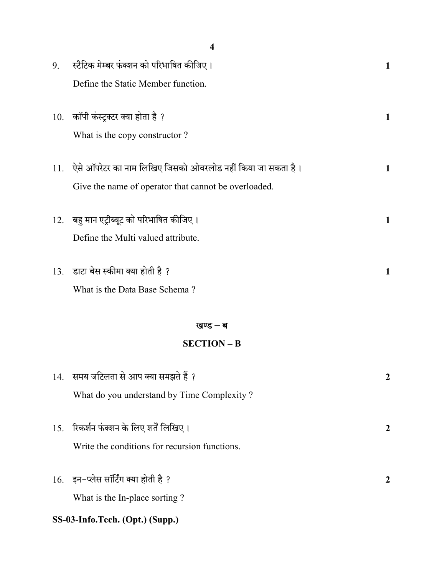|     | 4                                                          |                  |
|-----|------------------------------------------------------------|------------------|
| 9.  | स्टैटिक मेम्बर फंक्शन को परिभाषित कीजिए।                   | 1                |
|     | Define the Static Member function.                         |                  |
|     |                                                            |                  |
| 10. | कॉपी कंस्ट्रक्टर क्या होता है ?                            | 1                |
|     | What is the copy constructor?                              |                  |
| 11. | ऐसे ऑपरेटर का नाम लिखिए जिसको ओवरलोड नहीं किया जा सकता है। | 1                |
|     | Give the name of operator that cannot be overloaded.       |                  |
|     |                                                            |                  |
| 12. | बहु मान एट्रीब्यूट को परिभाषित कीजिए।                      | 1                |
|     | Define the Multi valued attribute.                         |                  |
| 13. | डाटा बेस स्कीमा क्या होती है ?                             | 1                |
|     | What is the Data Base Schema?                              |                  |
|     |                                                            |                  |
|     | खण्ड – ब                                                   |                  |
|     | <b>SECTION - B</b>                                         |                  |
|     |                                                            |                  |
| 14. | समय जटिलता से आप क्या समझते हैं ?                          | $\boldsymbol{2}$ |
|     | What do you understand by Time Complexity?                 |                  |
| 15. | रिकर्शन फंक्शन के लिए शर्तें लिखिए।                        | $\boldsymbol{2}$ |
|     | Write the conditions for recursion functions.              |                  |
|     |                                                            |                  |
|     | 16. इन-प्लेस सॉर्टिंग क्या होती है ?                       | $\boldsymbol{2}$ |
|     | What is the In-place sorting?                              |                  |
|     | SS-03-Info.Tech. (Opt.) (Supp.)                            |                  |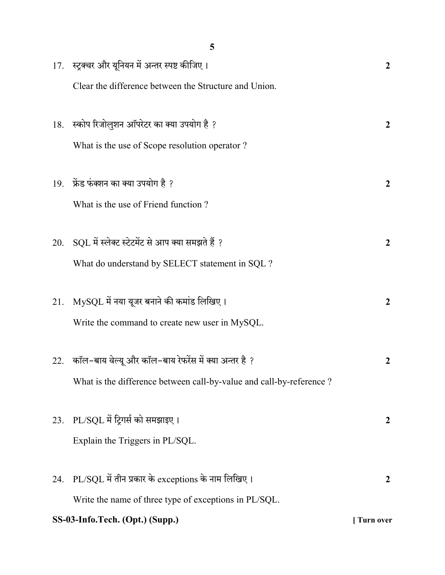|     | 5                                                                   |                  |
|-----|---------------------------------------------------------------------|------------------|
|     | 17. स्ट्रक्चर और यूनियन में अन्तर स्पष्ट कीजिए ।                    | $\mathbf{2}$     |
|     | Clear the difference between the Structure and Union.               |                  |
|     |                                                                     |                  |
|     | 18. स्कोप रिजोलुशन ऑपरेटर का क्या उपयोग है ?                        | $\mathbf{2}$     |
|     | What is the use of Scope resolution operator?                       |                  |
|     | 19. फ्रेंड फंक्शन का क्या उपयोग है ?                                | $\overline{2}$   |
|     | What is the use of Friend function?                                 |                  |
|     |                                                                     |                  |
| 20. | SQL में स्लेक्ट स्टेटमेंट से आप क्या समझते हैं ?                    | $\overline{2}$   |
|     | What do understand by SELECT statement in SQL ?                     |                  |
|     |                                                                     |                  |
| 21. | MySQL में नया यूजर बनाने की कमांड लिखिए।                            | $\overline{2}$   |
|     | Write the command to create new user in MySQL.                      |                  |
|     | 22. कॉल-बाय वेल्यू और कॉल-बाय रेफरेंस में क्या अन्तर है ?           | 2                |
|     | What is the difference between call-by-value and call-by-reference? |                  |
|     |                                                                     |                  |
| 23. | PL/SQL में ट्रिगर्स को समझाइए।                                      | $\boldsymbol{2}$ |
|     | Explain the Triggers in PL/SQL.                                     |                  |
|     |                                                                     |                  |
| 24. | $PL/SQL$ में तीन प्रकार के exceptions के नाम लिखिए।                 | $\boldsymbol{2}$ |
|     | Write the name of three type of exceptions in PL/SQL.               |                  |
|     | SS-03-Info.Tech. (Opt.) (Supp.)                                     | [Turn over       |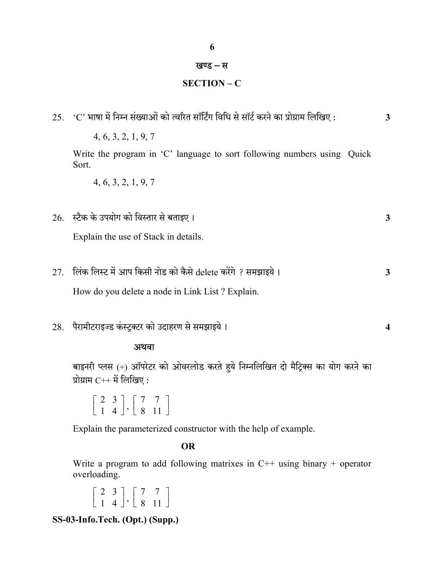## खण्ड – स

# SECTION – C

|     | 4, 6, 3, 2, 1, 9, 7                                                                                                 |                  |
|-----|---------------------------------------------------------------------------------------------------------------------|------------------|
|     | Write the program in 'C' language to sort following numbers using Quick<br>Sort.                                    |                  |
|     | 4, 6, 3, 2, 1, 9, 7                                                                                                 |                  |
|     | 26. स्टैक के उपयोग को विस्तार से बताइए।                                                                             | $\mathbf{3}$     |
|     | Explain the use of Stack in details.                                                                                |                  |
| 27. | लिंक लिस्ट में आप किसी नोड को कैसे delete करेंगे ? समझाइये।                                                         | $\mathbf{3}$     |
|     | How do you delete a node in Link List? Explain.                                                                     |                  |
| 28. | पैरामीटराइज्ड कंस्ट्रक्टर को उदाहरण से समझाइये।                                                                     | $\boldsymbol{4}$ |
|     | अथवा                                                                                                                |                  |
|     | बाइनरी प्लस (+) ऑपरेटर को ओवरलोड करते हुये निम्नलिखित दो मैट्रिक्स का योग करने का<br>प्रोग्राम $C^{++}$ में लिखिए : |                  |
|     | $\begin{array}{ c c c c c c c c } \hline 2 & 3 & 7 & 7 & 7 \\ \hline 1 & 4 & 8 & 11 & \hline \end{array}$           |                  |
|     | Explain the parameterized constructor with the help of example.                                                     |                  |
|     | <b>OR</b>                                                                                                           |                  |

Write a program to add following matrixes in C++ using binary + operator overloading.

```
\mathbb{R}^n\begin{bmatrix} 2 & 3 \\ 1 & 4 \end{bmatrix}\begin{bmatrix} 2 & 3 \\ 1 & 4 \end{bmatrix}, \begin{bmatrix} 1 & 1 \\ 1 & 4 \end{bmatrix}\begin{bmatrix} 7 & 7 \\ 8 & 11 \end{bmatrix}\begin{bmatrix} 8 & 11 \end{bmatrix}
```
SS-03-Info.Tech. (Opt.) (Supp.)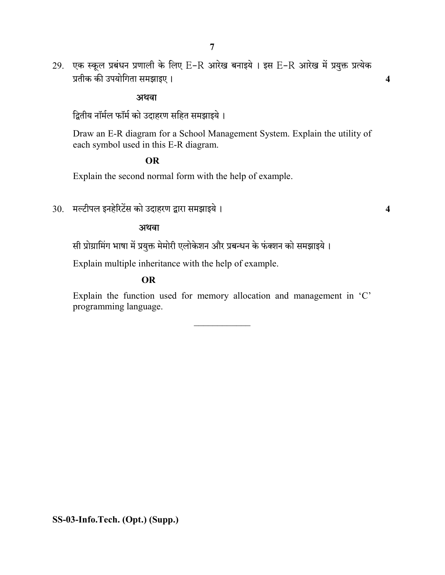29. एक स्कूल प्रबंधन प्रणाली के लिए E-R आरेख बनाइये । इस E-R आरेख में प्रयुक्त प्रत्येक 4

#### अथवा

द्वितीय नॉर्मल फॉर्म को उदाहरण सहित समझाइये।

Draw an E-R diagram for a School Management System. Explain the utility of each symbol used in this E-R diagram.

## OR

Explain the second normal form with the help of example.

 $30.$  मल्टीपल इनहेरिटेंस को उदाहरण द्वारा समझाइये ।  $\,$ 

#### अथवा

सी प्रोग्रामिंग भाषा में प्रयुक्त मेमोरी एलोकेशन और प्रबन्धन के फंक्शन को समझाइये।

Explain multiple inheritance with the help of example.

### OR

Explain the function used for memory allocation and management in 'C' programming language.

 $\frac{1}{2}$